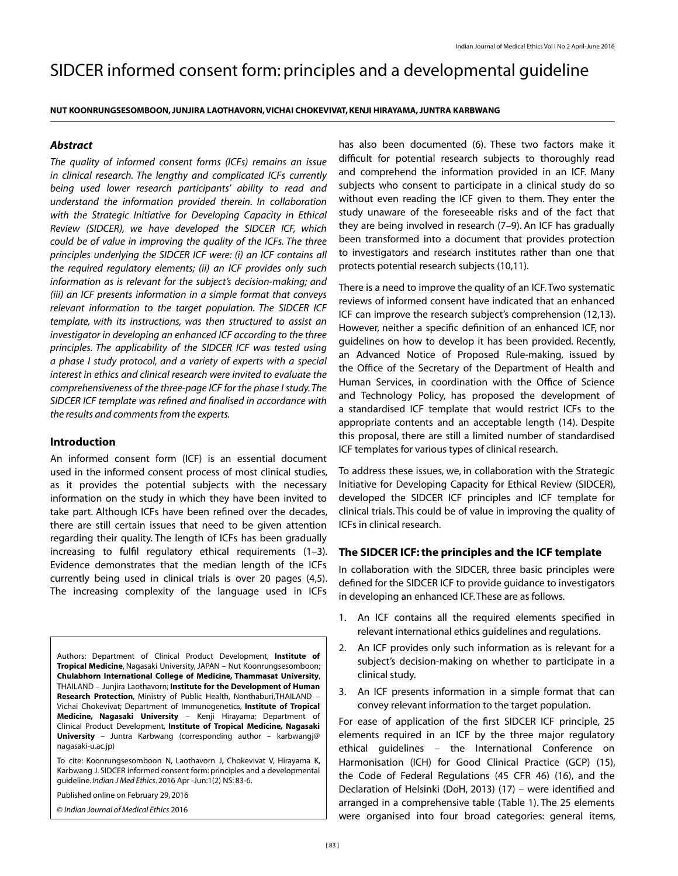# SIDCER informed consent form: principles and a developmental guideline

#### **NUT KOONRUNGSESOMBOON, JUNJIRA LAOTHAVORN, VICHAI CHOKEVIVAT, KENJI HIRAYAMA, JUNTRA KARBWANG**

#### *Abstract*

*The quality of informed consent forms (ICFs) remains an issue in clinical research. The lengthy and complicated ICFs currently being used lower research participants' ability to read and understand the information provided therein. In collaboration with the Strategic Initiative for Developing Capacity in Ethical Review (SIDCER), we have developed the SIDCER ICF, which could be of value in improving the quality of the ICFs. The three principles underlying the SIDCER ICF were: (i) an ICF contains all the required regulatory elements; (ii) an ICF provides only such information as is relevant for the subject's decision-making; and (iii) an ICF presents information in a simple format that conveys relevant information to the target population. The SIDCER ICF template, with its instructions, was then structured to assist an investigator in developing an enhanced ICF according to the three principles. The applicability of the SIDCER ICF was tested using a phase I study protocol, and a variety of experts with a special interest in ethics and clinical research were invited to evaluate the comprehensiveness of the three-page ICF for the phase I study. The SIDCER ICF template was refined and finalised in accordance with the results and comments from the experts.*

#### **Introduction**

An informed consent form (ICF) is an essential document used in the informed consent process of most clinical studies, as it provides the potential subjects with the necessary information on the study in which they have been invited to take part. Although ICFs have been refined over the decades, there are still certain issues that need to be given attention regarding their quality. The length of ICFs has been gradually increasing to fulfil regulatory ethical requirements (1–3). Evidence demonstrates that the median length of the ICFs currently being used in clinical trials is over 20 pages (4,5). The increasing complexity of the language used in ICFs

Authors: Department of Clinical Product Development, **Institute of Tropical Medicine**, Nagasaki University, JAPAN – Nut Koonrungsesomboon; **Chulabhorn International College of Medicine, Thammasat University**, THAILAND – Junjira Laothavorn; **Institute for the Development of Human Research Protection**, Ministry of Public Health, Nonthaburi,THAILAND – Vichai Chokevivat; Department of Immunogenetics, **Institute of Tropical Medicine, Nagasaki University** – Kenji Hirayama; Department of Clinical Product Development, **Institute of Tropical Medicine, Nagasaki University** – Juntra Karbwang (corresponding author – karbwangj@ nagasaki-u.ac.jp)

To cite: Koonrungsesomboon N, Laothavorn J, Chokevivat V, Hirayama K, Karbwang J. SIDCER informed consent form: principles and a developmental guideline. *Indian J Med Ethics*. 2016 Apr -Jun:1(2) NS: 83-6.

Published online on February 29, 2016

© *Indian Journal of Medical Ethics* 2016

has also been documented (6). These two factors make it difficult for potential research subjects to thoroughly read and comprehend the information provided in an ICF. Many subjects who consent to participate in a clinical study do so without even reading the ICF given to them. They enter the study unaware of the foreseeable risks and of the fact that they are being involved in research (7–9). An ICF has gradually been transformed into a document that provides protection to investigators and research institutes rather than one that protects potential research subjects (10,11).

There is a need to improve the quality of an ICF. Two systematic reviews of informed consent have indicated that an enhanced ICF can improve the research subject's comprehension (12,13). However, neither a specific definition of an enhanced ICF, nor guidelines on how to develop it has been provided. Recently, an Advanced Notice of Proposed Rule-making, issued by the Office of the Secretary of the Department of Health and Human Services, in coordination with the Office of Science and Technology Policy, has proposed the development of a standardised ICF template that would restrict ICFs to the appropriate contents and an acceptable length (14). Despite this proposal, there are still a limited number of standardised ICF templates for various types of clinical research.

To address these issues, we, in collaboration with the Strategic Initiative for Developing Capacity for Ethical Review (SIDCER), developed the SIDCER ICF principles and ICF template for clinical trials. This could be of value in improving the quality of ICFs in clinical research.

#### **The SIDCER ICF: the principles and the ICF template**

In collaboration with the SIDCER, three basic principles were defined for the SIDCER ICF to provide guidance to investigators in developing an enhanced ICF. These are as follows.

- 1. An ICF contains all the required elements specified in relevant international ethics guidelines and regulations.
- 2. An ICF provides only such information as is relevant for a subject's decision-making on whether to participate in a clinical study.
- 3. An ICF presents information in a simple format that can convey relevant information to the target population.

For ease of application of the first SIDCER ICF principle, 25 elements required in an ICF by the three major regulatory ethical guidelines – the International Conference on Harmonisation (ICH) for Good Clinical Practice (GCP) (15), the Code of Federal Regulations (45 CFR 46) (16), and the Declaration of Helsinki (DoH, 2013) (17) – were identified and arranged in a comprehensive table (Table 1). The 25 elements were organised into four broad categories: general items,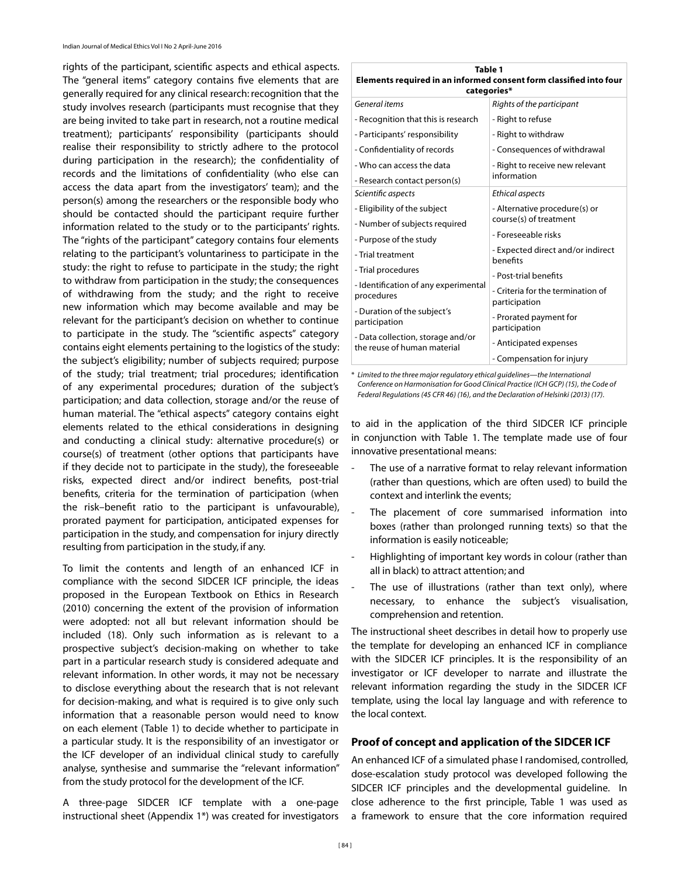rights of the participant, scientific aspects and ethical aspects. The "general items" category contains five elements that are generally required for any clinical research: recognition that the study involves research (participants must recognise that they are being invited to take part in research, not a routine medical treatment); participants' responsibility (participants should realise their responsibility to strictly adhere to the protocol during participation in the research); the confidentiality of records and the limitations of confidentiality (who else can access the data apart from the investigators' team); and the person(s) among the researchers or the responsible body who should be contacted should the participant require further information related to the study or to the participants' rights. The "rights of the participant" category contains four elements relating to the participant's voluntariness to participate in the study: the right to refuse to participate in the study; the right to withdraw from participation in the study; the consequences of withdrawing from the study; and the right to receive new information which may become available and may be relevant for the participant's decision on whether to continue to participate in the study. The "scientific aspects" category contains eight elements pertaining to the logistics of the study: the subject's eligibility; number of subjects required; purpose of the study; trial treatment; trial procedures; identification of any experimental procedures; duration of the subject's participation; and data collection, storage and/or the reuse of human material. The "ethical aspects" category contains eight elements related to the ethical considerations in designing and conducting a clinical study: alternative procedure(s) or course(s) of treatment (other options that participants have if they decide not to participate in the study), the foreseeable risks, expected direct and/or indirect benefits, post-trial benefits, criteria for the termination of participation (when the risk–benefit ratio to the participant is unfavourable), prorated payment for participation, anticipated expenses for participation in the study, and compensation for injury directly resulting from participation in the study, if any.

To limit the contents and length of an enhanced ICF in compliance with the second SIDCER ICF principle, the ideas proposed in the European Textbook on Ethics in Research (2010) concerning the extent of the provision of information were adopted: not all but relevant information should be included (18). Only such information as is relevant to a prospective subject's decision-making on whether to take part in a particular research study is considered adequate and relevant information. In other words, it may not be necessary to disclose everything about the research that is not relevant for decision-making, and what is required is to give only such information that a reasonable person would need to know on each element (Table 1) to decide whether to participate in a particular study. It is the responsibility of an investigator or the ICF developer of an individual clinical study to carefully analyse, synthesise and summarise the "relevant information" from the study protocol for the development of the ICF.

A three-page SIDCER ICF template with a one-page instructional sheet (Appendix 1\*) was created for investigators

| rabie i<br>Elements required in an informed consent form classified into four<br>categories* |                                                |  |
|----------------------------------------------------------------------------------------------|------------------------------------------------|--|
| General items                                                                                | Rights of the participant                      |  |
| - Recognition that this is research                                                          | - Right to refuse                              |  |
| - Participants' responsibility                                                               | - Right to withdraw                            |  |
| - Confidentiality of records                                                                 | - Consequences of withdrawal                   |  |
| - Who can access the data                                                                    | - Right to receive new relevant<br>information |  |
| - Research contact person(s)                                                                 |                                                |  |
| Scientific aspects                                                                           | Ethical aspects                                |  |
| - Eligibility of the subject                                                                 | - Alternative procedure(s) or                  |  |
| - Number of subjects required                                                                | course(s) of treatment                         |  |
| - Purpose of the study                                                                       | - Foreseeable risks                            |  |
| - Trial treatment                                                                            | - Expected direct and/or indirect<br>henefits  |  |
| - Trial procedures                                                                           | - Post-trial benefits                          |  |
| - Identification of any experimental                                                         | - Criteria for the termination of              |  |
| procedures                                                                                   | participation                                  |  |
| - Duration of the subject's                                                                  | - Prorated payment for                         |  |
| participation                                                                                | participation                                  |  |
| - Data collection, storage and/or<br>the reuse of human material                             | - Anticipated expenses                         |  |
|                                                                                              | - Compensation for injury                      |  |

**Table 1**

\* *Limited to the three major regulatory ethical guidelines—the International Conference on Harmonisation for Good Clinical Practice (ICH GCP) (15), the Code of Federal Regulations (45 CFR 46) (16), and the Declaration of Helsinki (2013) (17).*

to aid in the application of the third SIDCER ICF principle in conjunction with Table 1. The template made use of four innovative presentational means:

- The use of a narrative format to relay relevant information (rather than questions, which are often used) to build the context and interlink the events;
- The placement of core summarised information into boxes (rather than prolonged running texts) so that the information is easily noticeable;
- Highlighting of important key words in colour (rather than all in black) to attract attention; and
- The use of illustrations (rather than text only), where necessary, to enhance the subject's visualisation, comprehension and retention.

The instructional sheet describes in detail how to properly use the template for developing an enhanced ICF in compliance with the SIDCER ICF principles. It is the responsibility of an investigator or ICF developer to narrate and illustrate the relevant information regarding the study in the SIDCER ICF template, using the local lay language and with reference to the local context.

#### **Proof of concept and application of the SIDCER ICF**

An enhanced ICF of a simulated phase I randomised, controlled, dose-escalation study protocol was developed following the SIDCER ICF principles and the developmental guideline. In close adherence to the first principle, Table 1 was used as a framework to ensure that the core information required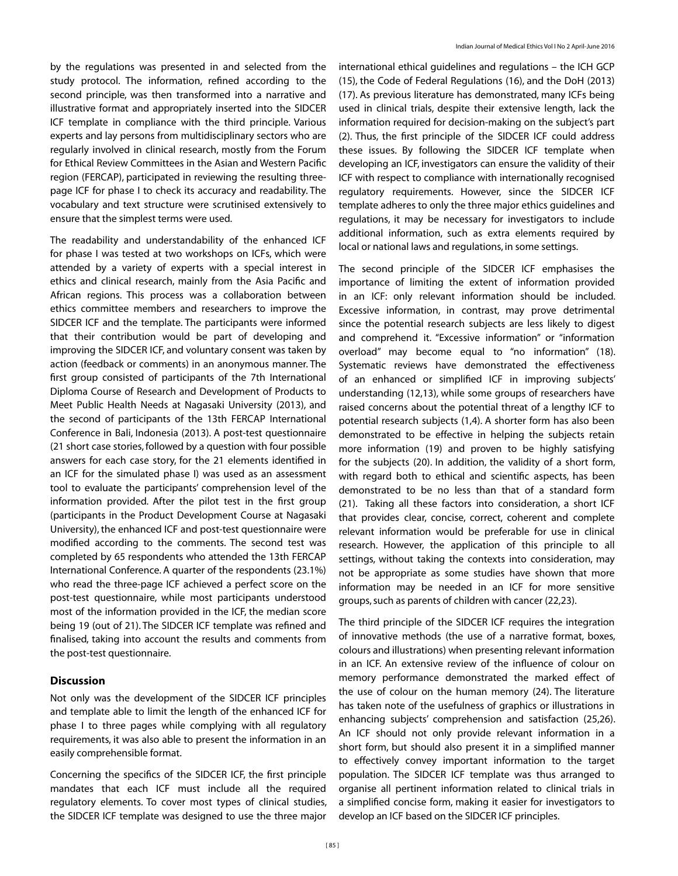by the regulations was presented in and selected from the study protocol. The information, refined according to the second principle, was then transformed into a narrative and illustrative format and appropriately inserted into the SIDCER ICF template in compliance with the third principle. Various experts and lay persons from multidisciplinary sectors who are regularly involved in clinical research, mostly from the Forum for Ethical Review Committees in the Asian and Western Pacific region (FERCAP), participated in reviewing the resulting threepage ICF for phase I to check its accuracy and readability. The vocabulary and text structure were scrutinised extensively to ensure that the simplest terms were used.

The readability and understandability of the enhanced ICF for phase I was tested at two workshops on ICFs, which were attended by a variety of experts with a special interest in ethics and clinical research, mainly from the Asia Pacific and African regions. This process was a collaboration between ethics committee members and researchers to improve the SIDCER ICF and the template. The participants were informed that their contribution would be part of developing and improving the SIDCER ICF, and voluntary consent was taken by action (feedback or comments) in an anonymous manner. The first group consisted of participants of the 7th International Diploma Course of Research and Development of Products to Meet Public Health Needs at Nagasaki University (2013), and the second of participants of the 13th FERCAP International Conference in Bali, Indonesia (2013). A post-test questionnaire (21 short case stories, followed by a question with four possible answers for each case story, for the 21 elements identified in an ICF for the simulated phase I) was used as an assessment tool to evaluate the participants' comprehension level of the information provided. After the pilot test in the first group (participants in the Product Development Course at Nagasaki University), the enhanced ICF and post-test questionnaire were modified according to the comments. The second test was completed by 65 respondents who attended the 13th FERCAP International Conference. A quarter of the respondents (23.1%) who read the three-page ICF achieved a perfect score on the post-test questionnaire, while most participants understood most of the information provided in the ICF, the median score being 19 (out of 21). The SIDCER ICF template was refined and finalised, taking into account the results and comments from the post-test questionnaire.

#### **Discussion**

Not only was the development of the SIDCER ICF principles and template able to limit the length of the enhanced ICF for phase I to three pages while complying with all regulatory requirements, it was also able to present the information in an easily comprehensible format.

Concerning the specifics of the SIDCER ICF, the first principle mandates that each ICF must include all the required regulatory elements. To cover most types of clinical studies, the SIDCER ICF template was designed to use the three major

international ethical guidelines and regulations – the ICH GCP (15), the Code of Federal Regulations (16), and the DoH (2013) (17). As previous literature has demonstrated, many ICFs being used in clinical trials, despite their extensive length, lack the information required for decision-making on the subject's part (2). Thus, the first principle of the SIDCER ICF could address these issues. By following the SIDCER ICF template when developing an ICF, investigators can ensure the validity of their ICF with respect to compliance with internationally recognised regulatory requirements. However, since the SIDCER ICF template adheres to only the three major ethics guidelines and regulations, it may be necessary for investigators to include additional information, such as extra elements required by local or national laws and regulations, in some settings.

The second principle of the SIDCER ICF emphasises the importance of limiting the extent of information provided in an ICF: only relevant information should be included. Excessive information, in contrast, may prove detrimental since the potential research subjects are less likely to digest and comprehend it. "Excessive information" or "information overload" may become equal to "no information" (18). Systematic reviews have demonstrated the effectiveness of an enhanced or simplified ICF in improving subjects' understanding (12,13), while some groups of researchers have raised concerns about the potential threat of a lengthy ICF to potential research subjects (1,4). A shorter form has also been demonstrated to be effective in helping the subjects retain more information (19) and proven to be highly satisfying for the subjects (20). In addition, the validity of a short form, with regard both to ethical and scientific aspects, has been demonstrated to be no less than that of a standard form (21). Taking all these factors into consideration, a short ICF that provides clear, concise, correct, coherent and complete relevant information would be preferable for use in clinical research. However, the application of this principle to all settings, without taking the contexts into consideration, may not be appropriate as some studies have shown that more information may be needed in an ICF for more sensitive groups, such as parents of children with cancer (22,23).

The third principle of the SIDCER ICF requires the integration of innovative methods (the use of a narrative format, boxes, colours and illustrations) when presenting relevant information in an ICF. An extensive review of the influence of colour on memory performance demonstrated the marked effect of the use of colour on the human memory (24). The literature has taken note of the usefulness of graphics or illustrations in enhancing subjects' comprehension and satisfaction (25,26). An ICF should not only provide relevant information in a short form, but should also present it in a simplified manner to effectively convey important information to the target population. The SIDCER ICF template was thus arranged to organise all pertinent information related to clinical trials in a simplified concise form, making it easier for investigators to develop an ICF based on the SIDCER ICF principles.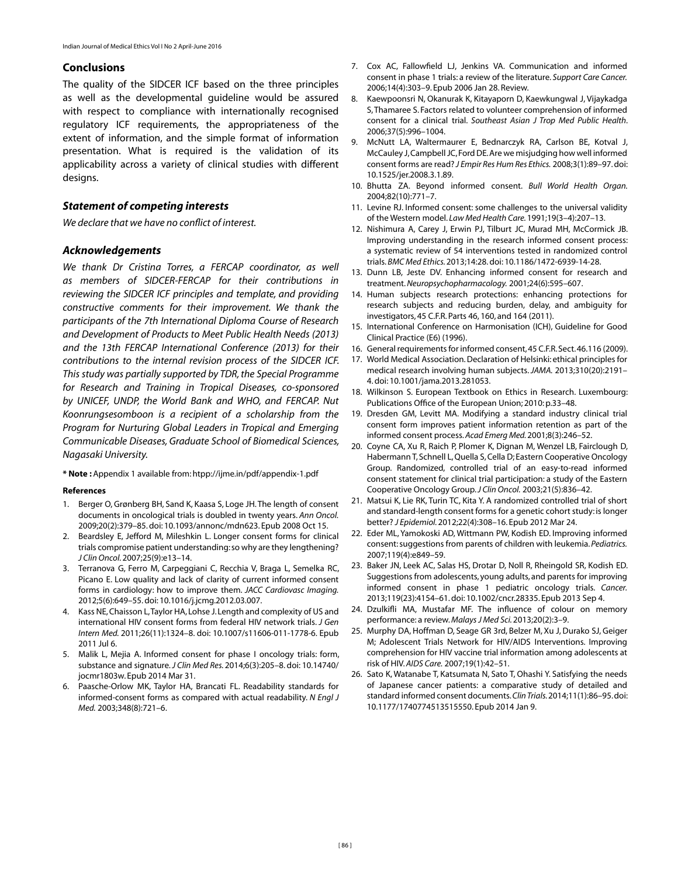#### **Conclusions**

The quality of the SIDCER ICF based on the three principles as well as the developmental guideline would be assured with respect to compliance with internationally recognised regulatory ICF requirements, the appropriateness of the extent of information, and the simple format of information presentation. What is required is the validation of its applicability across a variety of clinical studies with different designs.

#### *Statement of competing interests*

*We declare that we have no conflict of interest.*

#### *Acknowledgements*

We thank Dr Cristina Torres, a FERCAP coordinator, as well *as members of SIDCER-FERCAP for their contributions in reviewing the SIDCER ICF principles and template, and providing constructive comments for their improvement. We thank the participants of the 7th International Diploma Course of Research and Development of Products to Meet Public Health Needs (2013) and the 13th FERCAP International Conference (2013) for their contributions to the internal revision process of the SIDCER ICF. This study was partially supported by TDR, the Special Programme for Research and Training in Tropical Diseases, co-sponsored by UNICEF, UNDP, the World Bank and WHO, and FERCAP. Nut Koonrungsesomboon is a recipient of a scholarship from the Program for Nurturing Global Leaders in Tropical and Emerging Communicable Diseases, Graduate School of Biomedical Sciences, Nagasaki University.*

**\* Note :** Appendix 1 available from: htpp://ijme.in/pdf/appendix-1.pdf

#### **References**

- 1. Berger O, Grønberg BH, Sand K, Kaasa S, Loge JH. The length of consent documents in oncological trials is doubled in twenty years. *Ann Oncol.* 2009;20(2):379–85. doi: 10.1093/annonc/mdn623. Epub 2008 Oct 15.
- 2. Beardsley E, Jefford M, Mileshkin L. Longer consent forms for clinical trials compromise patient understanding: so why are they lengthening? *J Clin Oncol.* 2007;25(9):e13–14.
- 3. Terranova G, Ferro M, Carpeggiani C, Recchia V, Braga L, Semelka RC, Picano E. Low quality and lack of clarity of current informed consent forms in cardiology: how to improve them. *JACC Cardiovasc Imaging.* 2012;5(6):649–55. doi: 10.1016/j.jcmg.2012.03.007.
- 4. Kass NE, Chaisson L, Taylor HA, Lohse J. Length and complexity of US and international HIV consent forms from federal HIV network trials. *J Gen Intern Med.* 2011;26(11):1324–8. doi: 10.1007/s11606-011-1778-6. Epub 2011 Jul 6.
- 5. Malik L, Mejia A. Informed consent for phase I oncology trials: form, substance and signature. *J Clin Med Res.* 2014;6(3):205–8. doi: 10.14740/ jocmr1803w. Epub 2014 Mar 31.
- 6. Paasche-Orlow MK, Taylor HA, Brancati FL. Readability standards for informed-consent forms as compared with actual readability. *N Engl J Med.* 2003;348(8):721–6.
- 7. Cox AC, Fallowfield LJ, Jenkins VA. Communication and informed consent in phase 1 trials: a review of the literature. *Support Care Cancer.* 2006;14(4):303–9. Epub 2006 Jan 28. Review.
- 8. Kaewpoonsri N, Okanurak K, Kitayaporn D, Kaewkungwal J, Vijaykadga S, Thamaree S. Factors related to volunteer comprehension of informed consent for a clinical trial. *Southeast Asian J Trop Med Public Health*. 2006;37(5):996–1004.
- 9. McNutt LA, Waltermaurer E, Bednarczyk RA, Carlson BE, Kotval J, McCauley J, Campbell JC, Ford DE. Are we misjudging how well informed consent forms are read? *J Empir Res Hum Res Ethics.* 2008;3(1):89–97. doi: 10.1525/jer.2008.3.1.89.
- 10. Bhutta ZA. Beyond informed consent. *Bull World Health Organ.*  2004;82(10):771–7.
- 11. Levine RJ. Informed consent: some challenges to the universal validity of the Western model. *Law Med Health Care.* 1991;19(3–4):207–13.
- 12. Nishimura A, Carey J, Erwin PJ, Tilburt JC, Murad MH, McCormick JB. Improving understanding in the research informed consent process: a systematic review of 54 interventions tested in randomized control trials. *BMC Med Ethics.* 2013;14:28. doi: 10.1186/1472-6939-14-28.
- 13. Dunn LB, Jeste DV. Enhancing informed consent for research and treatment. *Neuropsychopharmacology.* 2001;24(6):595–607.
- 14. Human subjects research protections: enhancing protections for research subjects and reducing burden, delay, and ambiguity for investigators, 45 C.F.R. Parts 46, 160, and 164 (2011).
- 15. International Conference on Harmonisation (ICH), Guideline for Good Clinical Practice (E6) (1996).
- 16. General requirements for informed consent, 45 C.F.R. Sect. 46.116 (2009).
- 17. World Medical Association. Declaration of Helsinki: ethical principles for medical research involving human subjects. *JAMA.* 2013;310(20):2191– 4. doi: 10.1001/jama.2013.281053.
- 18. Wilkinson S. European Textbook on Ethics in Research. Luxembourg: Publications Office of the European Union; 2010: p.33–48.
- 19. Dresden GM, Levitt MA. Modifying a standard industry clinical trial consent form improves patient information retention as part of the informed consent process. *Acad Emerg Med.* 2001;8(3):246–52.
- 20. Coyne CA, Xu R, Raich P, Plomer K, Dignan M, Wenzel LB, Fairclough D, Habermann T, Schnell L, Quella S, Cella D; Eastern Cooperative Oncology Group. Randomized, controlled trial of an easy-to-read informed consent statement for clinical trial participation: a study of the Eastern Cooperative Oncology Group. *J Clin Oncol.* 2003;21(5):836–42.
- 21. Matsui K, Lie RK, Turin TC, Kita Y. A randomized controlled trial of short and standard-length consent forms for a genetic cohort study: is longer better? *J Epidemiol.* 2012;22(4):308–16. Epub 2012 Mar 24.
- 22. Eder ML, Yamokoski AD, Wittmann PW, Kodish ED. Improving informed consent: suggestions from parents of children with leukemia. *Pediatrics.* 2007;119(4):e849–59.
- 23. Baker JN, Leek AC, Salas HS, Drotar D, Noll R, Rheingold SR, Kodish ED. Suggestions from adolescents, young adults, and parents for improving informed consent in phase 1 pediatric oncology trials. *Cancer.* 2013;119(23):4154–61. doi: 10.1002/cncr.28335. Epub 2013 Sep 4.
- 24. Dzulkifli MA, Mustafar MF. The influence of colour on memory performance: a review. *Malays J Med Sci.* 2013;20(2):3–9.
- 25. Murphy DA, Hoffman D, Seage GR 3rd, Belzer M, Xu J, Durako SJ, Geiger M; Adolescent Trials Network for HIV/AIDS Interventions. Improving comprehension for HIV vaccine trial information among adolescents at risk of HIV. *AIDS Care.* 2007;19(1):42–51.
- 26. Sato K, Watanabe T, Katsumata N, Sato T, Ohashi Y. Satisfying the needs of Japanese cancer patients: a comparative study of detailed and standard informed consent documents. *Clin Trials.* 2014;11(1):86–95. doi: 10.1177/1740774513515550. Epub 2014 Jan 9.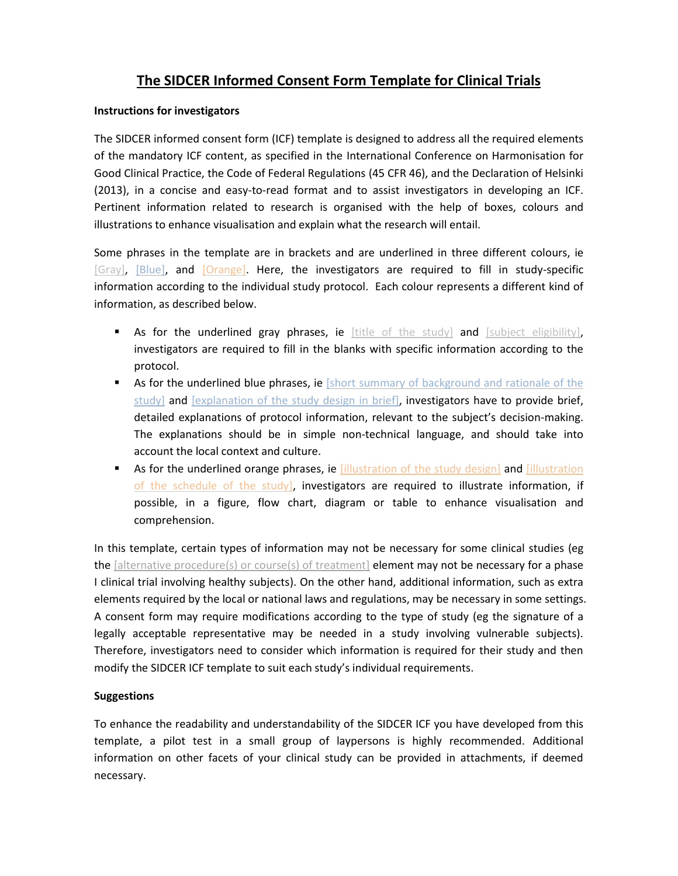## **The SIDCER Informed Consent Form Template for Clinical Trials**

#### **Instructions for investigators**

The SIDCER informed consent form (ICF) template is designed to address all the required elements of the mandatory ICF content, as specified in the International Conference on Harmonisation for Good Clinical Practice, the Code of Federal Regulations (45 CFR 46), and the Declaration of Helsinki (2013), in a concise and easy-to-read format and to assist investigators in developing an ICF. Pertinent information related to research is organised with the help of boxes, colours and illustrations to enhance visualisation and explain what the research will entail.

Some phrases in the template are in brackets and are underlined in three different colours, ie [Gray], [Blue], and [Orange]. Here, the investigators are required to fill in study-specific information according to the individual study protocol. Each colour represents a different kind of information, as described below.

- **As for the underlined gray phrases, ie** [title of the study] and [subject eligibility], investigators are required to fill in the blanks with specific information according to the protocol.
- As for the underlined blue phrases, ie [short summary of background and rationale of the study] and [explanation of the study design in brief], investigators have to provide brief, detailed explanations of protocol information, relevant to the subject's decision-making. The explanations should be in simple non-technical language, and should take into account the local context and culture.
- **As for the underlined orange phrases, ie [illustration of the study design] and [illustration** of the schedule of the study], investigators are required to illustrate information, if possible, in a figure, flow chart, diagram or table to enhance visualisation and comprehension.

In this template, certain types of information may not be necessary for some clinical studies (eg the *falternative procedure(s)* or course(s) of treatment] element may not be necessary for a phase I clinical trial involving healthy subjects). On the other hand, additional information, such as extra elements required by the local or national laws and regulations, may be necessary in some settings. A consent form may require modifications according to the type of study (eg the signature of a legally acceptable representative may be needed in a study involving vulnerable subjects). Therefore, investigators need to consider which information is required for their study and then modify the SIDCER ICF template to suit each study's individual requirements.

#### **Suggestions**

To enhance the readability and understandability of the SIDCER ICF you have developed from this template, a pilot test in a small group of laypersons is highly recommended. Additional information on other facets of your clinical study can be provided in attachments, if deemed necessary.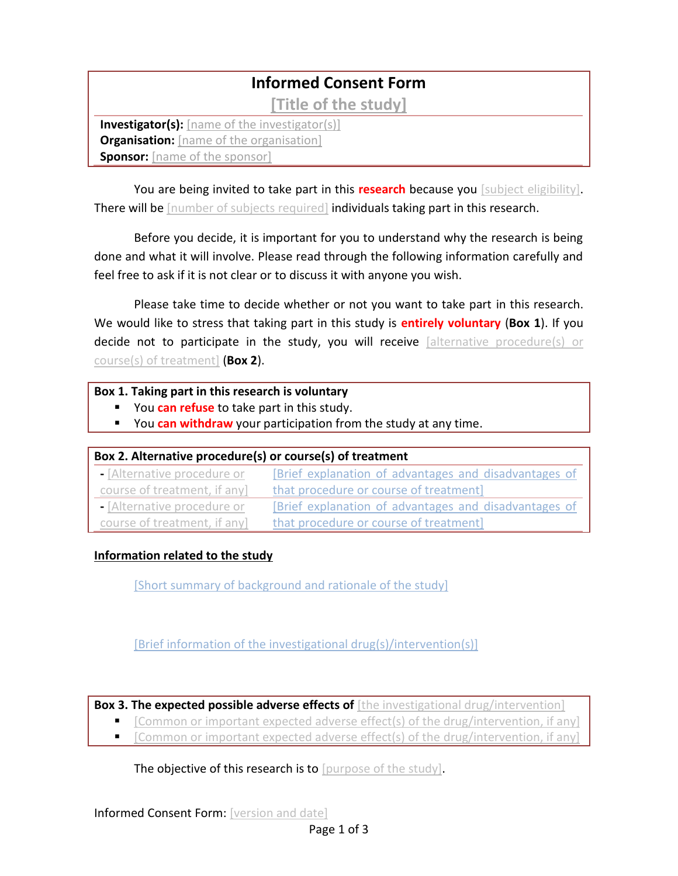# **Informed Consent Form**

**[Title of the study]**

**Investigator(s):** [name of the investigator(s)] **Organisation:** [name of the organisation] **Sponsor:** [name of the sponsor]

You are being invited to take part in this **research** because you [subject eligibility]. There will be [number of subjects required] individuals taking part in this research.

Before you decide, it is important for you to understand why the research is being done and what it will involve. Please read through the following information carefully and feel free to ask if it is not clear or to discuss it with anyone you wish.

Please take time to decide whether or not you want to take part in this research. We would like to stress that taking part in this study is **entirely voluntary** (**Box 1**). If you decide not to participate in the study, you will receive [alternative procedure(s) or course(s) of treatment] (**Box 2**).

### **Box 1. Taking part in this research is voluntary**

- You **can refuse** to take part in this study.
- **The State Vivory of the Vivor vartilly and State Vivor Consomo in State Vivor Consomo Figure.** The You **can withdraw** your partical from the State 2019 of the State 2019 of the State 2019 of the State 2019 of the State 20

| Box 2. Alternative procedure(s) or course(s) of treatment |                                                       |  |
|-----------------------------------------------------------|-------------------------------------------------------|--|
| - [Alternative procedure or                               | [Brief explanation of advantages and disadvantages of |  |
| course of treatment, if any]                              | that procedure or course of treatment]                |  |
| - [Alternative procedure or                               | [Brief explanation of advantages and disadvantages of |  |
| course of treatment, if any]                              | that procedure or course of treatment]                |  |

### **Information related to the study**

[Short summary of background and rationale of the study]

## [Brief information of the investigational drug(s)/intervention(s)]

**Box 3. The expected possible adverse effects of** [the investigational drug/intervention]

- [Common or important expected adverse effect(s) of the drug/intervention, if any]
- [Common or important expected adverse effect(s) of the drug/intervention, if any]

The objective of this research is to [purpose of the study].

Informed Consent Form: [version and date]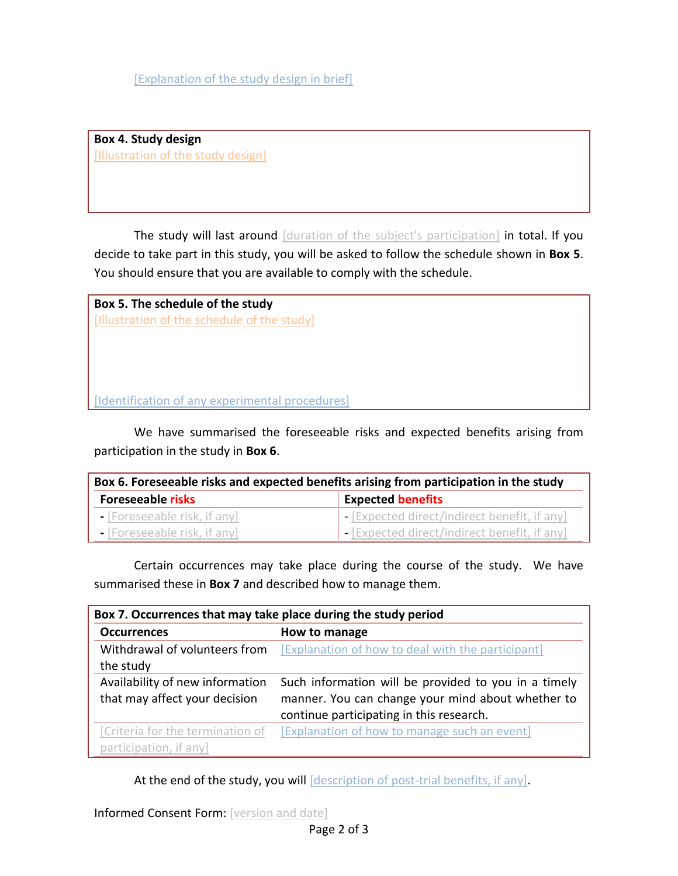**Box 4. Study design** [Illustration of the study design]

The study will last around [duration of the subject's participation] in total. If you decide to take part in this study, you will be asked to follow the schedule shown in **Box 5**. You should ensure that you are available to comply with the schedule.

**Box 5. The schedule of the study** [Illustration of the schedule of the study]

[Identification of any experimental procedures]

We have summarised the foreseeable risks and expected benefits arising from participation in the study in **Box 6**.

| Box 6. Foreseeable risks and expected benefits arising from participation in the study |                                                      |  |
|----------------------------------------------------------------------------------------|------------------------------------------------------|--|
| <b>Foreseeable risks</b>                                                               | <b>Expected benefits</b>                             |  |
| $-[Foreseable risk, if any]$                                                           | [Expected direct/indirect benefit, if any            |  |
| $\blacksquare$ [Foreseeable risk, if any]                                              | $\vert$ - [Expected direct/indirect benefit, if any] |  |

Certain occurrences may take place during the course of the study. We have summarised these in **Box 7** and described how to manage them.

| Box 7. Occurrences that may take place during the study period   |                                                                                                                                                       |  |
|------------------------------------------------------------------|-------------------------------------------------------------------------------------------------------------------------------------------------------|--|
| <b>Occurrences</b>                                               | How to manage                                                                                                                                         |  |
| Withdrawal of volunteers from<br>the study                       | [Explanation of how to deal with the participant]                                                                                                     |  |
| Availability of new information<br>that may affect your decision | Such information will be provided to you in a timely<br>manner. You can change your mind about whether to<br>continue participating in this research. |  |
| [Criteria for the termination of<br>participation, if any]       | [Explanation of how to manage such an event]                                                                                                          |  |

At the end of the study, you will [description of post-trial benefits, if any].